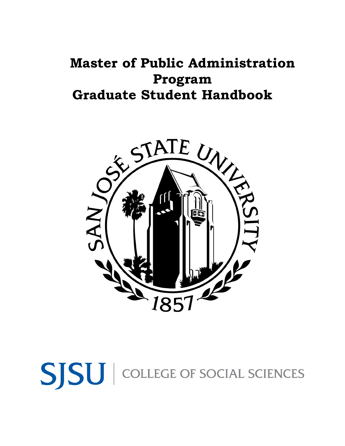# **Master of Public Administration Program Graduate Student Handbook**



# SSU | COLLEGE OF SOCIAL SCIENCES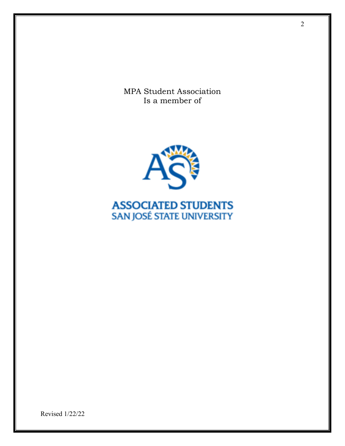MPA Student Association Is a member of



# **ASSOCIATED STUDENTS**<br>SAN JOSÉ STATE UNIVERSITY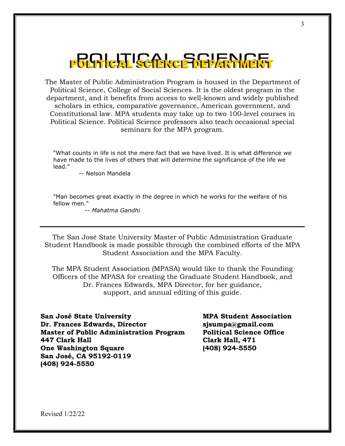# **BGHdJUGGAL SGH5NG5**

The Master of Public Administration Program is housed in the Department of Political Science, College of Social Sciences. It is the oldest program in the department, and it benefits from access to well-known and widely published scholars in ethics, comparative governance, American government, and Constitutional law. MPA students may take up to two 100-level courses in Political Science. Political Science professors also teach occasional special seminars for the MPA program.

"What counts in life is not the mere fact that we have lived. It is what difference we have made to the lives of others that will determine the significance of the life we lead."

-- Nelson Mandela

"Man becomes great exactly in the degree in which he works for the welfare of his fellow men."

*-- Mahatma Gandhi*

The San José State University Master of Public Administration Graduate Student Handbook is made possible through the combined efforts of the MPA Student Association and the MPA Faculty.

The MPA Student Association (MPASA) would like to thank the Founding Officers of the MPASA for creating the Graduate Student Handbook, and Dr. Frances Edwards, MPA Director, for her guidance, support, and annual editing of this guide.

**San José State University MPA Student Association Dr. Frances Edwards, Director sjsumpa@gmail.com Master of Public Administration Program Political Science Office 447 Clark Hall Clark Hall, 471 One Washington Square (408) 924-5550 San José, CA 95192-0119 (408) 924-5550**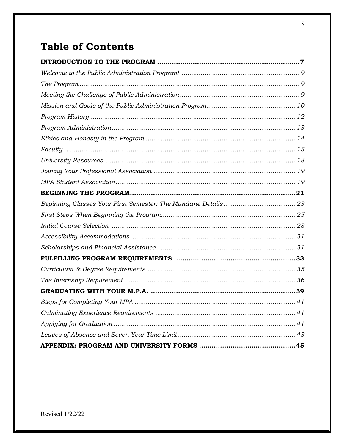## **Table of Contents**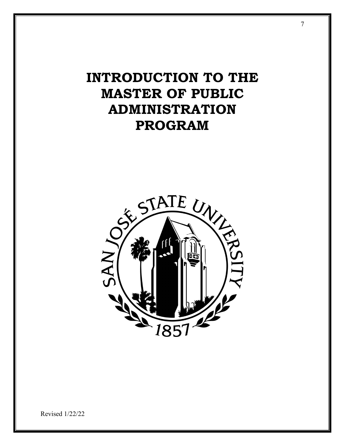# **INTRODUCTION TO THE MASTER OF PUBLIC ADMINISTRATION PROGRAM**

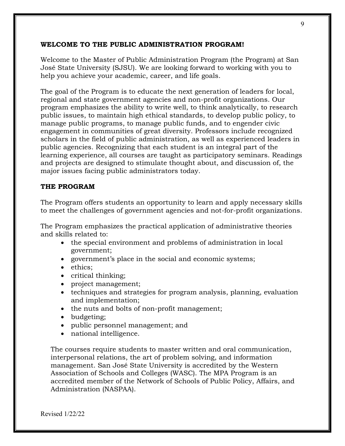#### **WELCOME TO THE PUBLIC ADMINISTRATION PROGRAM!**

Welcome to the Master of Public Administration Program (the Program) at San José State University (SJSU). We are looking forward to working with you to help you achieve your academic, career, and life goals.

The goal of the Program is to educate the next generation of leaders for local, regional and state government agencies and non-profit organizations. Our program emphasizes the ability to write well, to think analytically, to research public issues, to maintain high ethical standards, to develop public policy, to manage public programs, to manage public funds, and to engender civic engagement in communities of great diversity. Professors include recognized scholars in the field of public administration, as well as experienced leaders in public agencies. Recognizing that each student is an integral part of the learning experience, all courses are taught as participatory seminars. Readings and projects are designed to stimulate thought about, and discussion of, the major issues facing public administrators today.

#### **THE PROGRAM**

The Program offers students an opportunity to learn and apply necessary skills to meet the challenges of government agencies and not-for-profit organizations.

The Program emphasizes the practical application of administrative theories and skills related to:

- the special environment and problems of administration in local government;
- government's place in the social and economic systems;
- ethics;
- critical thinking;
- project management;
- techniques and strategies for program analysis, planning, evaluation and implementation;
- the nuts and bolts of non-profit management;
- budgeting;
- public personnel management; and
- national intelligence.

The courses require students to master written and oral communication, interpersonal relations, the art of problem solving, and information management. San José [State University](http://www.sjsu.edu/depts/PoliSci/) is accredited by the [Western](http://www.wascweb.org/)  [Association of Schools and Colleges](http://www.wascweb.org/) (WASC). The MPA Program is an accredited member of the Network of Schools of Public Policy, Affairs, and Administration (NASPAA).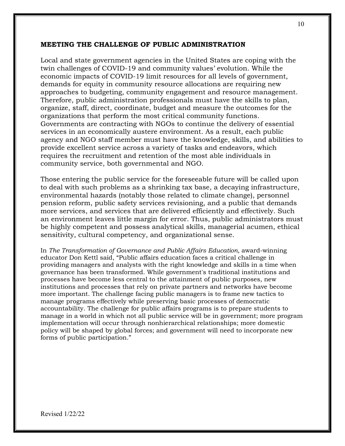#### **MEETING THE CHALLENGE OF PUBLIC ADMINISTRATION**

Local and state government agencies in the United States are coping with the twin challenges of COVID-19 and community values' evolution. While the economic impacts of COVID-19 limit resources for all levels of government, demands for equity in community resource allocations are requiring new approaches to budgeting, community engagement and resource management. Therefore, public administration professionals must have the skills to plan, organize, staff, direct, coordinate, budget and measure the outcomes for the organizations that perform the most critical community functions. Governments are contracting with NGOs to continue the delivery of essential services in an economically austere environment. As a result, each public agency and NGO staff member must have the knowledge, skills, and abilities to provide excellent service across a variety of tasks and endeavors, which requires the recruitment and retention of the most able individuals in community service, both governmental and NGO.

Those entering the public service for the foreseeable future will be called upon to deal with such problems as a shrinking tax base, a decaying infrastructure, environmental hazards (notably those related to climate change), personnel pension reform, public safety services revisioning, and a public that demands more services, and services that are delivered efficiently and effectively. Such an environment leaves little margin for error. Thus, public administrators must be highly competent and possess analytical skills, managerial acumen, ethical sensitivity, cultural competency, and organizational sense.

In *The Transformation of Governance and Public Affairs Education*, award-winning educator Don Kettl said, "Public affairs education faces a critical challenge in providing managers and analysts with the right knowledge and skills in a time when governance has been transformed. While government's traditional institutions and processes have become less central to the attainment of public purposes, new institutions and processes that rely on private partners and networks have become more important. The challenge facing public managers is to frame new tactics to manage programs effectively while preserving basic processes of democratic accountability. The challenge for public affairs programs is to prepare students to manage in a world in which not all public service will be in government; more program implementation will occur through nonhierarchical relationships; more domestic policy will be shaped by global forces; and government will need to incorporate new forms of public participation."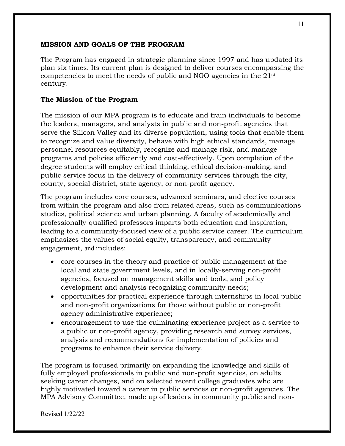#### **MISSION AND GOALS OF THE PROGRAM**

The Program has engaged in strategic planning since 1997 and has updated its plan six times. Its current plan is designed to deliver courses encompassing the competencies to meet the needs of public and NGO agencies in the 21st century.

#### **The Mission of the Program**

The mission of our MPA program is to educate and train individuals to become the leaders, managers, and analysts in public and non-profit agencies that serve the Silicon Valley and its diverse population, using tools that enable them to recognize and value diversity, behave with high ethical standards, manage personnel resources equitably, recognize and manage risk, and manage programs and policies efficiently and cost-effectively. Upon completion of the degree students will employ critical thinking, ethical decision-making, and public service focus in the delivery of community services through the city, county, special district, state agency, or non-profit agency.

The program includes core courses, advanced seminars, and elective courses from within the program and also from related areas, such as communications studies, political science and urban planning. A faculty of academically and professionally-qualified professors imparts both education and inspiration, leading to a community-focused view of a public service career. The curriculum emphasizes the values of social equity, transparency, and community engagement, and includes:

- core courses in the theory and practice of public management at the local and state government levels, and in locally-serving non-profit agencies, focused on management skills and tools, and policy development and analysis recognizing community needs;
- opportunities for practical experience through internships in local public and non-profit organizations for those without public or non-profit agency administrative experience;
- encouragement to use the culminating experience project as a service to a public or non-profit agency, providing research and survey services, analysis and recommendations for implementation of policies and programs to enhance their service delivery.

The program is focused primarily on expanding the knowledge and skills of fully employed professionals in public and non-profit agencies, on adults seeking career changes, and on selected recent college graduates who are highly motivated toward a career in public services or non-profit agencies. The MPA Advisory Committee, made up of leaders in community public and non-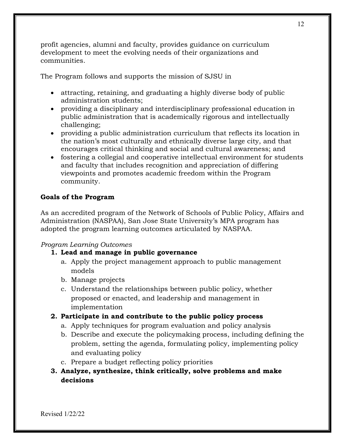profit agencies, alumni and faculty, provides guidance on curriculum development to meet the evolving needs of their organizations and communities.

The Program follows and supports the mission of SJSU in

- attracting, retaining, and graduating a highly diverse body of public administration students;
- providing a disciplinary and interdisciplinary professional education in public administration that is academically rigorous and intellectually challenging;
- providing a public administration curriculum that reflects its location in the nation's most culturally and ethnically diverse large city, and that encourages critical thinking and social and cultural awareness; and
- fostering a collegial and cooperative intellectual environment for students and faculty that includes recognition and appreciation of differing viewpoints and promotes academic freedom within the Program community.

#### **Goals of the Program**

As an accredited program of the Network of Schools of Public Policy, Affairs and Administration (NASPAA), San Jose State University's MPA program has adopted the program learning outcomes articulated by NASPAA.

#### *Program Learning Outcomes*

#### **1. Lead and manage in public governance**

- a. Apply the project management approach to public management models
- b. Manage projects
- c. Understand the relationships between public policy, whether proposed or enacted, and leadership and management in implementation

#### **2. Participate in and contribute to the public policy process**

- a. Apply techniques for program evaluation and policy analysis
- b. Describe and execute the policymaking process, including defining the problem, setting the agenda, formulating policy, implementing policy and evaluating policy
- c. Prepare a budget reflecting policy priorities
- **3. Analyze, synthesize, think critically, solve problems and make decisions**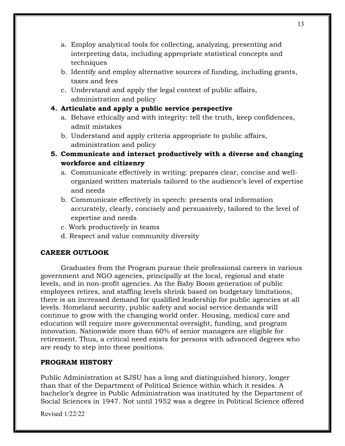- a. Employ analytical tools for collecting, analyzing, presenting and interpreting data, including appropriate statistical concepts and techniques
- b. Identify and employ alternative sources of funding, including grants, taxes and fees
- c. Understand and apply the legal context of public affairs, administration and policy

#### **4. Articulate and apply a public service perspective**

- a. Behave ethically and with integrity: tell the truth, keep confidences, admit mistakes
- b. Understand and apply criteria appropriate to public affairs, administration and policy

#### **5. Communicate and interact productively with a diverse and changing workforce and citizenry**

- a. Communicate effectively in writing: prepares clear, concise and wellorganized written materials tailored to the audience's level of expertise and needs
- b. Communicate effectively in speech: presents oral information accurately, clearly, concisely and persuasively, tailored to the level of expertise and needs
- c. Work productively in teams
- d. Respect and value community diversity

#### **CAREER OUTLOOK**

Graduates from the Program pursue their professional careers in various government and NGO agencies, principally at the local, regional and state levels, and in non-profit agencies. As the Baby Boom generation of public employees retires, and staffing levels shrink based on budgetary limitations, there is an increased demand for qualified leadership for public agencies at all levels. Homeland security, public safety and social service demands will continue to grow with the changing world order. Housing, medical care and education will require more governmental oversight, funding, and program innovation. Nationwide more than 60% of senior managers are eligible for retirement. Thus, a critical need exists for persons with advanced degrees who are ready to step into these positions.

#### **PROGRAM HISTORY**

Public Administration at SJSU has a long and distinguished history, longer than that of the Department of Political Science within which it resides. A bachelor's degree in Public Administration was instituted by the Department of Social Sciences in 1947. Not until 1952 was a degree in Political Science offered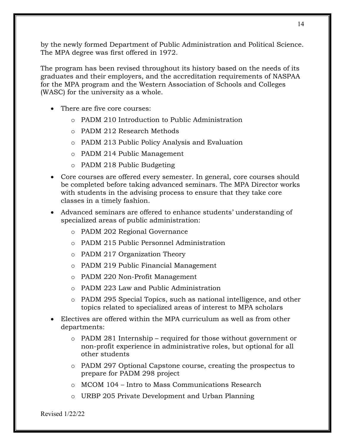by the newly formed Department of Public Administration and Political Science. The MPA degree was first offered in 1972.

The program has been revised throughout its history based on the needs of its graduates and their employers, and the accreditation requirements of NASPAA for the MPA program and the Western Association of Schools and Colleges (WASC) for the university as a whole.

- There are five core courses:
	- o PADM 210 Introduction to Public Administration
	- o PADM 212 Research Methods
	- o PADM 213 Public Policy Analysis and Evaluation
	- o PADM 214 Public Management
	- o PADM 218 Public Budgeting
- Core courses are offered every semester. In general, core courses should be completed before taking advanced seminars. The MPA Director works with students in the advising process to ensure that they take core classes in a timely fashion.
- Advanced seminars are offered to enhance students' understanding of specialized areas of public administration:
	- o PADM 202 Regional Governance
	- o PADM 215 Public Personnel Administration
	- o PADM 217 Organization Theory
	- o PADM 219 Public Financial Management
	- o PADM 220 Non-Profit Management
	- o PADM 223 Law and Public Administration
	- o PADM 295 Special Topics, such as national intelligence, and other topics related to specialized areas of interest to MPA scholars
- Electives are offered within the MPA curriculum as well as from other departments:
	- o PADM 281 Internship required for those without government or non-profit experience in administrative roles, but optional for all other students
	- o PADM 297 Optional Capstone course, creating the prospectus to prepare for PADM 298 project
	- o MCOM 104 Intro to Mass Communications Research
	- o URBP 205 Private Development and Urban Planning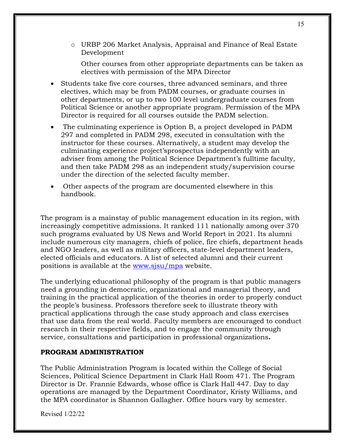o URBP 206 Market Analysis, Appraisal and Finance of Real Estate Development

Other courses from other appropriate departments can be taken as electives with permission of the MPA Director

- Students take five core courses, three advanced seminars, and three electives, which may be from PADM courses, or graduate courses in other departments, or up to two 100 level undergraduate courses from Political Science or another appropriate program. Permission of the MPA Director is required for all courses outside the PADM selection.
- The culminating experience is Option B, a project developed in PADM 297 and completed in PADM 298, executed in consultation with the instructor for these courses. Alternatively, a student may develop the culminating experience project'sprospectus independently with an adviser from among the Political Science Department's fulltime faculty, and then take PADM 298 as an independent study/supervision course under the direction of the selected faculty member.
- Other aspects of the program are documented elsewhere in this handbook.

The program is a mainstay of public management education in its region, with increasingly competitive admissions. It ranked 111 nationally among over 370 such programs evaluated by US News and World Report in 2021. Its alumni include numerous city managers, chiefs of police, fire chiefs, department heads and NGO leaders, as well as military officers, state-level department leaders, elected officials and educators. A list of selected alumni and their current positions is available at the [www.sjsu/mpa](http://www.sjsu/mpa) website.

The underlying educational philosophy of the program is that public managers need a grounding in democratic, organizational and managerial theory, and training in the practical application of the theories in order to properly conduct the people's business. Professors therefore seek to illustrate theory with practical applications through the case study approach and class exercises that use data from the real world. Faculty members are encouraged to conduct research in their respective fields, and to engage the community through service, consultations and participation in professional organizations**.**

#### **PROGRAM ADMINISTRATION**

The Public Administration Program is located within the College of Social Sciences, Political Science Department in Clark Hall Room 471. The Program Director is Dr. Frannie Edwards, whose office is Clark Hall 447. Day to day operations are managed by the Department Coordinator, Kristy Williams, and the MPA coordinator is Shannon Gallagher. Office hours vary by semester.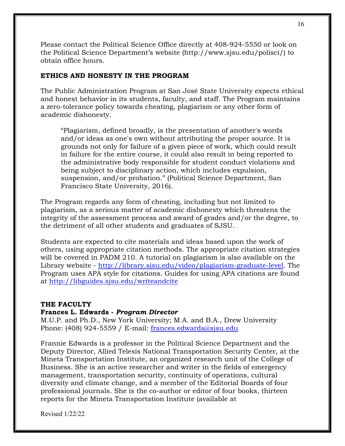Please contact the Political Science Office directly at 408-924-5550 or look on the Political Science Department's website (http://www.sjsu.edu/polisci/) to obtain office hours.

#### **ETHICS AND HONESTY IN THE PROGRAM**

The Public Administration Program at San José State University expects ethical and honest behavior in its students, faculty, and staff. The Program maintains a zero-tolerance policy towards cheating, plagiarism or any other form of academic dishonesty.

"Plagiarism, defined broadly, is the presentation of another's words and/or ideas as one's own without attributing the proper source. It is grounds not only for failure of a given piece of work, which could result in failure for the entire course, it could also result in being reported to the administrative body responsible for student conduct violations and being subject to disciplinary action, which includes expulsion, suspension, and/or probation." (Political Science Department, San Francisco State University, 2016).

The Program regards any form of cheating, including but not limited to plagiarism, as a serious matter of academic dishonesty which threatens the integrity of the assessment process and award of grades and/or the degree, to the detriment of all other students and graduates of SJSU.

Students are expected to cite materials and ideas based upon the work of others, using appropriate citation methods. The appropriate citation strategies will be covered in PADM 210. A tutorial on plagiarism is also available on the Library website - [http://library.sjsu.edu/video/plagiarism-graduate-level.](http://library.sjsu.edu/video/plagiarism-graduate-level) The Program uses APA style for citations. Guides for using APA citations are found at<http://libguides.sjsu.edu/writeandcite>

#### **THE FACULTY**

#### **Frances L. Edwards -** *Program Director*

M.U.P. and Ph.D., New York University; M.A. and B.A., Drew University Phone: (408) 924-5559 / E-mail: [frances.edwards@sjsu.edu](mailto:frances.edwards@sjsu.edu)

Frannie Edwards is a professor in the Political Science Department and the Deputy Director, Allied Telesis National Transportation Security Center, at the Mineta Transportation Institute, an organized research unit of the College of Business. She is an active researcher and writer in the fields of emergency management, transportation security, continuity of operations, cultural diversity and climate change, and a member of the Editorial Boards of four professional journals. She is the co-author or editor of four books, thirteen reports for the Mineta Transportation Institute (available at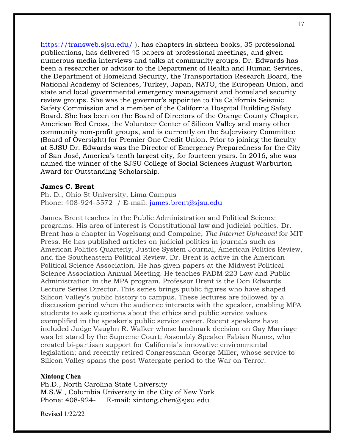<https://transweb.sjsu.edu/> ), has chapters in sixteen books, 35 professional publications, has delivered 45 papers at professional meetings, and given numerous media interviews and talks at community groups. Dr. Edwards has been a researcher or advisor to the Department of Health and Human Services, the Department of Homeland Security, the Transportation Research Board, the National Academy of Sciences, Turkey, Japan, NATO, the European Union, and state and local governmental emergency management and homeland security review groups. She was the governor's appointee to the California Seismic Safety Commission and a member of the California Hospital Building Safety Board. She has been on the Board of Directors of the Orange County Chapter, American Red Cross, the Volunteer Center of Silicon Valley and many other community non-profit groups, and is currently on the Su[ervisory Committee (Board of Oversight) for Premier One Credit Union. Prior to joining the faculty at SJSU Dr. Edwards was the Director of Emergency Preparedness for the City of San José, America's tenth largest city, for fourteen years. In 2016, she was named the winner of the SJSU College of Social Sciences August Warburton Award for Outstanding Scholarship.

#### **James C. Brent**

Ph. D., Ohio St University, Lima Campus Phone: 408-924-5572 / E-mail: [james.brent@sjsu.edu](mailto:james.brent@sjsu.edu)

James Brent teaches in the Public Administration and Political Science programs. His area of interest is Constitutional law and judicial politics. Dr. Brent has a chapter in Vogelsang and Compaine, *The Internet Upheaval* for MIT Press. He has published articles on judicial politics in journals such as American Politics Quarterly, Justice System Journal, American Politics Review, and the Southeastern Political Review. Dr. Brent is active in the American Political Science Association. He has given papers at the Midwest Political Science Association Annual Meeting. He teaches PADM 223 Law and Public Administration in the MPA program. Professor Brent is the Don Edwards Lecture Series Director. This series brings public figures who have shaped Silicon Valley's public history to campus. These lectures are followed by a discussion period when the audience interacts with the speaker, enabling MPA students to ask questions about the ethics and public service values exemplified in the speaker's public service career. Recent speakers have included Judge Vaughn R. Walker whose landmark decision on Gay Marriage was let stand by the Supreme Court; Assembly Speaker Fabian Nunez, who created bi-partisan support for California's innovative environmental legislation; and recently retired Congressman George Miller, whose service to Silicon Valley spans the post-Watergate period to the War on Terror.

#### **Xintong Chen**

Ph.D., North Carolina State University M.S.W., Columbia University in the City of New York Phone: 408-924- E-mail: xintong.chen@sjsu.edu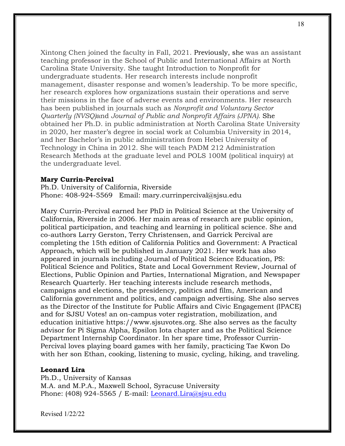Xintong Chen joined the faculty in Fall, 2021. Previously, she was an assistant teaching professor in the School of Public and International Affairs at North Carolina State University. She taught Introduction to Nonprofit for undergraduate students. Her research interests include nonprofit management, disaster response and women's leadership. To be more specific, her research explores how organizations sustain their operations and serve their missions in the face of adverse events and environments. Her research has been published in journals such as *Nonprofit and Voluntary Sector Quarterly (NVSQ)*and *Journal of Public and Nonprofit Affairs (JPNA).* She obtained her Ph.D. in public administration at North Carolina State University in 2020, her master's degree in social work at Columbia University in 2014, and her Bachelor's in public administration from Hebei University of Technology in China in 2012. She will teach PADM 212 Administration Research Methods at the graduate level and POLS 100M (political inquiry) at the undergraduate level.

#### **Mary Currin-Percival**

Ph.D. University of California, Riverside Phone: 408-924-5569 Email: mary.currinpercival@sisu.edu

Mary Currin-Percival earned her PhD in Political Science at the University of California, Riverside in 2006. Her main areas of research are public opinion, political participation, and teaching and learning in political science. She and co-authors Larry Gerston, Terry Christensen, and Garrick Percival are completing the 15th edition of California Politics and Government: A Practical Approach, which will be published in January 2021. Her work has also appeared in journals including Journal of Political Science Education, PS: Political Science and Politics, State and Local Government Review, Journal of Elections, Public Opinion and Parties, International Migration, and Newspaper Research Quarterly. Her teaching interests include research methods, campaigns and elections, the presidency, politics and film, American and California government and politics, and campaign advertising. She also serves as the Director of the Institute for Public Affairs and Civic Engagement (IPACE) and for SJSU Votes! an on-campus voter registration, mobilization, and education initiative https://www.sjsuvotes.org. She also serves as the faculty advisor for Pi Sigma Alpha, Epsilon Iota chapter and as the Political Science Department Internship Coordinator. In her spare time, Professor Currin-Percival loves playing board games with her family, practicing Tae Kwon Do with her son Ethan, cooking, listening to music, cycling, hiking, and traveling.

#### **Leonard Lira**

Ph.D., University of Kansas M.A. and M.P.A., Maxwell School, Syracuse University Phone: (408) 924-5565 / E-mail: [Leonard.Lira@sjsu.edu](mailto:Leonard.Lira@sjsu.edu)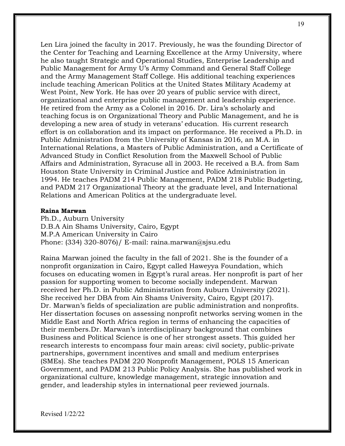Len Lira joined the faculty in 2017. Previously, he was the founding Director of the Center for Teaching and Learning Excellence at the Army University, where he also taught Strategic and Operational Studies, Enterprise Leadership and Public Management for Army U's Army Command and General Staff College and the Army Management Staff College. His additional teaching experiences include teaching American Politics at the United States Military Academy at West Point, New York. He has over 20 years of public service with direct, organizational and enterprise public management and leadership experience. He retired from the Army as a Colonel in 2016. Dr. Lira's scholarly and teaching focus is on Organizational Theory and Public Management, and he is developing a new area of study in veterans' education. His current research effort is on collaboration and its impact on performance. He received a Ph.D. in Public Administration from the University of Kansas in 2016, an M.A. in International Relations, a Masters of Public Administration, and a Certificate of Advanced Study in Conflict Resolution from the Maxwell School of Public Affairs and Administration, Syracuse all in 2003. He received a B.A. from Sam Houston State University in Criminal Justice and Police Administration in 1994. He teaches PADM 214 Public Management, PADM 218 Public Budgeting, and PADM 217 Organizational Theory at the graduate level, and International Relations and American Politics at the undergraduate level.

#### **Raina Marwan**

Ph.D., Auburn University D.B.A Ain Shams University, Cairo, Egypt M.P.A American University in Cairo Phone: (334) 320-8076)/ E-mail: raina.marwan@sjsu.edu

Raina Marwan joined the faculty in the fall of 2021. She is the founder of a nonprofit organization in Cairo, Egypt called Haweyya Foundation, which focuses on educating women in Egypt's rural areas. Her nonprofit is part of her passion for supporting women to become socially independent. Marwan received her Ph.D. in Public Administration from Auburn University (2021). She received her DBA from Ain Shams University, Cairo, Egypt (2017). Dr. Marwan's fields of specialization are public administration and nonprofits. Her dissertation focuses on assessing nonprofit networks serving women in the Middle East and North Africa region in terms of enhancing the capacities of their members.Dr. Marwan's interdisciplinary background that combines Business and Political Science is one of her strongest assets. This guided her research interests to encompass four main areas: civil society, public-private partnerships, government incentives and small and medium enterprises (SMEs). She teaches PADM 220 Nonprofit Management, POLS 15 American Government, and PADM 213 Public Policy Analysis. She has published work in organizational culture, knowledge management, strategic innovation and gender, and leadership styles in international peer reviewed journals.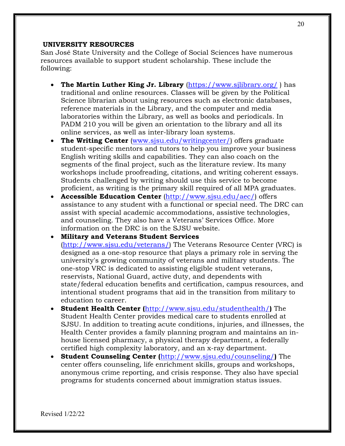#### **UNIVERSITY RESOURCES**

San José State University and the College of Social Sciences have numerous resources available to support student scholarship. These include the following:

- **The Martin Luther King Jr. Library** [\(https://www.sjlibrary.org/](https://www.sjlibrary.org/) ) has traditional and online resources. Classes will be given by the Political Science librarian about using resources such as electronic databases, reference materials in the Library, and the computer and media laboratories within the Library, as well as books and periodicals. In PADM 210 you will be given an orientation to the library and all its online services, as well as inter-library loan systems.
- **The Writing Center** [\(www.sjsu.edu/writingcenter/\)](http://www.sjsu.edu/writingcenter/) offers graduate student-specific mentors and tutors to help you improve your business English writing skills and capabilities. They can also coach on the segments of the final project, such as the literature review. Its many workshops include proofreading, citations, and writing coherent essays. Students challenged by writing should use this service to become proficient, as writing is the primary skill required of all MPA graduates.
- **Accessible Education Center** [\(http://www.sjsu.edu/aec/\)](http://www.sjsu.edu/aec/) offers assistance to any student with a functional or special need. The DRC can assist with special academic accommodations, assistive technologies, and counseling. They also have a Veterans' Services Office. More information on the DRC is on the SJSU website.

#### • **Military and Veterans Student Services**

[\(http://www.sjsu.edu/veterans/\)](http://www.sjsu.edu/veterans/) The Veterans Resource Center (VRC) is designed as a one-stop resource that plays a primary role in serving the university's growing community of veterans and military students. The one-stop VRC is dedicated to assisting eligible student veterans, reservists, National Guard, active duty, and dependents with state/federal education benefits and certification, campus resources, and intentional student programs that aid in the transition from military to education to career.

- **Student Health Center (**<http://www.sjsu.edu/studenthealth/>**)** The Student Health Center provides medical care to students enrolled at SJSU. In addition to treating acute conditions, injuries, and illnesses, the Health Center provides a family planning program and maintains an inhouse licensed pharmacy, a physical therapy department, a federally certified high complexity laboratory, and an x-ray department.
- **Student Counseling Center (**<http://www.sjsu.edu/counseling/>**)** The center offers counseling, life enrichment skills, groups and workshops, anonymous crime reporting, and crisis response. They also have special programs for students concerned about immigration status issues.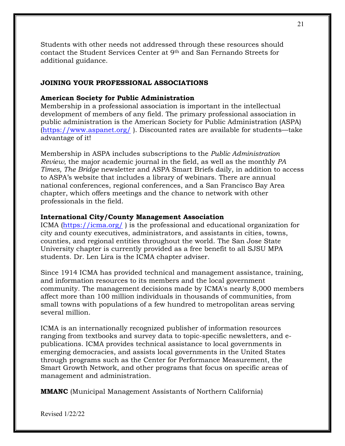Students with other needs not addressed through these resources should contact the Student Services Center at 9th and San Fernando Streets for additional guidance.

#### **JOINING YOUR PROFESSIONAL ASSOCIATIONS**

#### **American Society for Public Administration**

Membership in a professional association is important in the intellectual development of members of any field. The primary professional association in public administration is the American Society for Public Administration (ASPA) [\(https://www.aspanet.org/](https://www.aspanet.org/) ). Discounted rates are available for students—take advantage of it!

Membership in ASPA includes subscriptions to the *Public Administration Review*, the major academic journal in the field, as well as the monthly *PA Times, The Bridge* newsletter and ASPA Smart Briefs daily, in addition to access to ASPA's website that includes a library of webinars. There are annual national conferences, regional conferences, and a San Francisco Bay Area chapter, which offers meetings and the chance to network with other professionals in the field.

#### **International City/County Management Association**

ICMA [\(https://icma.org/](https://icma.org/) ) is the professional and educational organization for city and county executives, administrators, and assistants in cities, towns, counties, and regional entities throughout the world. The San Jose State University chapter is currently provided as a free benefit to all SJSU MPA students. Dr. Len Lira is the ICMA chapter adviser.

Since 1914 ICMA has provided technical and management assistance, training, and information resources to its members and the local government community. The management decisions made by ICMA's nearly 8,000 members affect more than 100 million individuals in thousands of communities, from small towns with populations of a few hundred to metropolitan areas serving several million.

ICMA is an internationally recognized publisher of information resources ranging from textbooks and survey data to topic-specific newsletters, and epublications. ICMA provides technical assistance to local governments in emerging democracies, and assists local governments in the United States through programs such as the Center for Performance Measurement, the Smart Growth Network, and other programs that focus on specific areas of management and administration.

**MMANC** (Municipal Management Assistants of Northern California)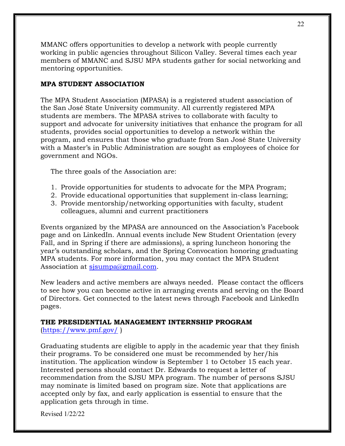MMANC offers opportunities to develop a network with people currently working in public agencies throughout Silicon Valley. Several times each year members of MMANC and SJSU MPA students gather for social networking and mentoring opportunities.

#### **MPA STUDENT ASSOCIATION**

The MPA Student Association (MPASA) is a registered student association of the San José State University community. All currently registered MPA students are members. The MPASA strives to collaborate with faculty to support and advocate for university initiatives that enhance the program for all students, provides social opportunities to develop a network within the program, and ensures that those who graduate from San José State University with a Master's in Public Administration are sought as employees of choice for government and NGOs.

The three goals of the Association are:

- 1. Provide opportunities for students to advocate for the MPA Program;
- 2. Provide educational opportunities that supplement in-class learning;
- 3. Provide mentorship/networking opportunities with faculty, student colleagues, alumni and current practitioners

Events organized by the MPASA are announced on the Association's Facebook page and on LinkedIn. Annual events include New Student Orientation (every Fall, and in Spring if there are admissions), a spring luncheon honoring the year's outstanding scholars, and the Spring Convocation honoring graduating MPA students. For more information, you may contact the MPA Student Association at sisumpa@gmail.com.

New leaders and active members are always needed. Please contact the officers to see how you can become active in arranging events and serving on the Board of Directors. Get connected to the latest news through Facebook and LinkedIn pages.

#### **THE PRESIDENTIAL MANAGEMENT INTERNSHIP PROGRAM**

[\(https://www.pmf.gov/](https://www.pmf.gov/) )

Graduating students are eligible to apply in the academic year that they finish their programs. To be considered one must be recommended by her/his institution. The application window is September 1 to October 15 each year. Interested persons should contact Dr. Edwards to request a letter of recommendation from the SJSU MPA program. The number of persons SJSU may nominate is limited based on program size. Note that applications are accepted only by fax, and early application is essential to ensure that the application gets through in time.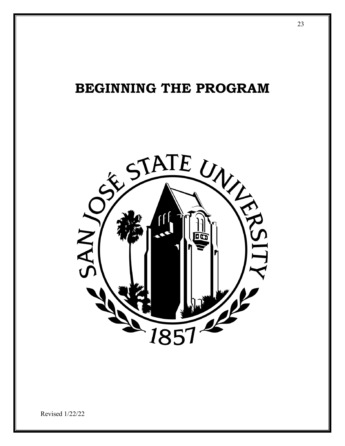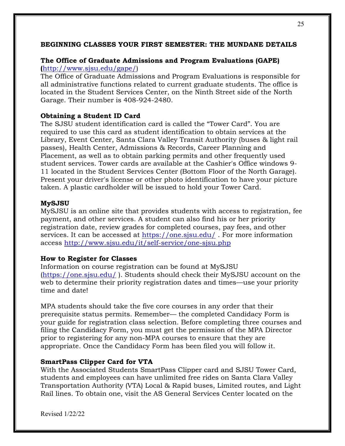#### **BEGINNING CLASSES YOUR FIRST SEMESTER: THE MUNDANE DETAILS**

#### **The Office of Graduate Admissions and Program Evaluations (GAPE)**

#### **(**[http://www.sjsu.edu/gape/\)](http://www.sjsu.edu/gape/)

The Office of Graduate Admissions and Program Evaluations is responsible for all administrative functions related to current graduate students. The office is located in the Student Services Center, on the Ninth Street side of the North Garage. Their number is 408-924-2480.

#### **Obtaining a Student ID Card**

The SJSU student identification card is called the "Tower Card". You are required to use this card as student identification to obtain services at the Library, Event Center, Santa Clara Valley Transit Authority (buses & light rail passes), Health Center, Admissions & Records, Career Planning and Placement, as well as to obtain parking permits and other frequently used student services. Tower cards are available at the Cashier's Office windows 9- 11 located in the Student Services Center (Bottom Floor of the North Garage). Present your driver's license or other photo identification to have your picture taken. A plastic cardholder will be issued to hold your Tower Card.

#### **MySJSU**

MySJSU is an online site that provides students with access to registration, fee payment, and other services. A student can also find his or her priority registration date, review grades for completed courses, pay fees, and other services. It can be accessed at<https://one.sjsu.edu/>. For more information access<http://www.sjsu.edu/it/self-service/one-sjsu.php>

#### **How to Register for Classes**

Information on course registration can be found at MySJSU [\(https://one.sjsu.edu/](https://one.sjsu.edu/) ). Students should check their MySJSU account on the web to determine their priority registration dates and times—use your priority time and date!

MPA students should take the five core courses in any order that their prerequisite status permits. Remember— the completed Candidacy Form is your guide for registration class selection. Before completing three courses and filing the Candidacy Form, you must get the permission of the MPA Director prior to registering for any non-MPA courses to ensure that they are appropriate. Once the Candidacy Form has been filed you will follow it.

#### **SmartPass Clipper Card for VTA**

With the Associated Students SmartPass Clipper card and SJSU Tower Card, students and employees can have unlimited free rides on Santa Clara Valley Transportation Authority (VTA) Local & Rapid buses, Limited routes, and Light Rail lines. To obtain one, visit the AS General Services Center located on the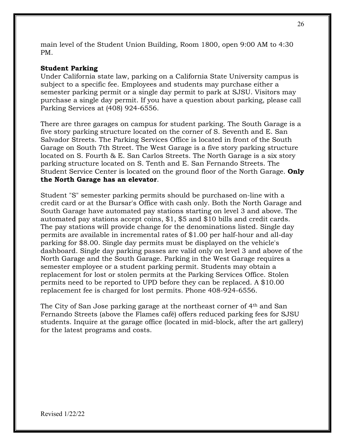main level of the Student Union Building, Room 1800, open 9:00 AM to 4:30 PM.

#### **Student Parking**

Under California state law, parking on a California State University campus is subject to a specific fee. Employees and students may purchase either a semester parking permit or a single day permit to park at SJSU. Visitors may purchase a single day permit. If you have a question about parking, please call Parking Services at (408) 924-6556.

There are three garages on campus for student parking. The [South Garage i](http://www2.sjsu.edu/parking/pages/maps-7th.html)s a five story parking structure located on the corner of S. Seventh and E. San Salvador Streets. The Parking Services Office is located in front of the South Garage on South 7th Street. The [West Garage i](http://www2.sjsu.edu/parking/pages/maps-4th.html)s a five story parking structure located on S. Fourth & E. San Carlos Streets. The [North Garage i](http://www2.sjsu.edu/parking/pages/maps-10th.html)s a six story parking structure located on S. Tenth and E. San Fernando Streets. The Student Service Center is located on the ground floor of the North Garage. **Only the North Garage has an elevator**.

Student "S" semester parking permits should be purchased on-line with a credit card or at the Bursar's Office with cash only. Both the North Garage and South Garage have automated pay stations starting on level 3 and above. The automated pay stations accept coins, \$1, \$5 and \$10 bills and credit cards. The pay stations will provide change for the denominations listed. Single day permits are available in incremental rates of \$1.00 per half-hour and all-day parking for \$8.00. Single day permits must be displayed on the vehicle's dashboard. Single day parking passes are valid only on level 3 and above of the North Garage and the South Garage. Parking in the West Garage requires a semester employee or a student parking permit. Students may obtain a replacement for lost or stolen permits at the Parking Services Office. Stolen permits need to be reported to UPD before they can be replaced. A \$10.00 replacement fee is charged for lost permits. Phone 408-924-6556.

The City of San Jose parking garage at the northeast corner of 4<sup>th</sup> and San Fernando Streets (above the Flames café) offers reduced parking fees for SJSU students. Inquire at the garage office (located in mid-block, after the art gallery) for the latest programs and costs.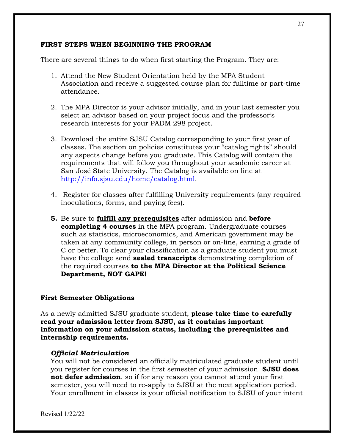#### **FIRST STEPS WHEN BEGINNING THE PROGRAM**

There are several things to do when first starting the Program. They are:

- 1. Attend the New Student Orientation held by the MPA Student Association and receive a suggested course plan for fulltime or part-time attendance.
- 2. The MPA Director is your advisor initially, and in your last semester you select an advisor based on your project focus and the professor's research interests for your PADM 298 project.
- 3. Download the entire SJSU Catalog corresponding to your first year of classes. The section on policies constitutes your "catalog rights" should any aspects change before you graduate. This Catalog will contain the requirements that will follow you throughout your academic career at San José State University. The Catalog is available on line at [http://info.sjsu.edu/home/catalog.html.](http://info.sjsu.edu/home/catalog.html)
- 4. Register for classes after fulfilling University requirements (any required inoculations, forms, and paying fees).
- **5.** Be sure to **fulfill any prerequisites** after admission and **before completing 4 courses** in the MPA program. Undergraduate courses such as statistics, microeconomics, and American government may be taken at any community college, in person or on-line, earning a grade of C or better. To clear your classification as a graduate student you must have the college send **sealed transcripts** demonstrating completion of the required courses **to the MPA Director at the Political Science Department, NOT GAPE!**

#### **First Semester Obligations**

As a newly admitted SJSU graduate student, **please take time to carefully read your admission letter from SJSU, as it contains important information on your admission status, including the prerequisites and internship requirements.**

#### *Official Matriculation*

You will not be considered an officially matriculated graduate student until you register for courses in the first semester of your admission. **SJSU does not defer admission**, so if for any reason you cannot attend your first semester, you will need to re-apply to SJSU at the next application period. Your enrollment in classes is your official notification to SJSU of your intent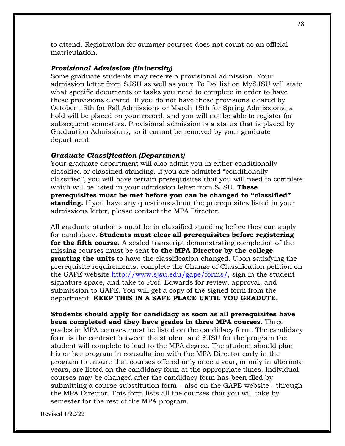to attend. Registration for summer courses does not count as an official matriculation.

#### *Provisional Admission (University)*

Some graduate students may receive a provisional admission. Your admission letter from SJSU as well as your 'To Do' list on MySJSU will state what specific documents or tasks you need to complete in order to have these provisions cleared. If you do not have these provisions cleared by October 15th for Fall Admissions or March 15th for Spring Admissions, a hold will be placed on your record, and you will not be able to register for subsequent semesters. Provisional admission is a status that is placed by Graduation Admissions, so it cannot be removed by your graduate department.

#### *Graduate Classification (Department)*

Your graduate department will also admit you in either conditionally classified or classified standing. If you are admitted "conditionally classified", you will have certain prerequisites that you will need to complete which will be listed in your admission letter from SJSU. **These prerequisites must be met before you can be changed to "classified" standing.** If you have any questions about the prerequisites listed in your admissions letter, please contact the MPA Director.

All graduate students must be in classified standing before they can apply for candidacy. **Students must clear all prerequisites before registering for the fifth course.** A sealed transcript demonstrating completion of the missing courses must be sent **to the MPA Director by the college granting the units** to have the classification changed. Upon satisfying the prerequisite requirements, complete the Change of Classification petition on the GAPE website [http://www.sjsu.edu/gape/forms/,](http://www.sjsu.edu/gape/forms/) sign in the student signature space, and take to Prof. Edwards for review, approval, and submission to GAPE. You will get a copy of the signed form from the department. **KEEP THIS IN A SAFE PLACE UNTIL YOU GRADUTE.** 

**Students should apply for candidacy as soon as all prerequisites have been completed and they have grades in three MPA courses.** Three grades in MPA courses must be listed on the candidacy form. The candidacy form is the contract between the student and SJSU for the program the student will complete to lead to the MPA degree. The student should plan his or her program in consultation with the MPA Director early in the program to ensure that courses offered only once a year, or only in alternate years, are listed on the candidacy form at the appropriate times. Individual courses may be changed after the candidacy form has been filed by submitting a course substitution form – also on the GAPE website - through the MPA Director. This form lists all the courses that you will take by semester for the rest of the MPA program.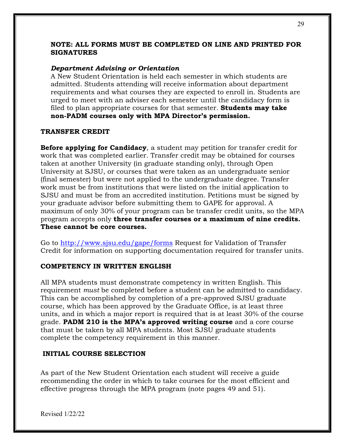#### **NOTE: ALL FORMS MUST BE COMPLETED ON LINE AND PRINTED FOR SIGNATURES**

#### *Department Advising or Orientation*

A New Student Orientation is held each semester in which students are admitted. Students attending will receive information about department requirements and what courses they are expected to enroll in. Students are urged to meet with an adviser each semester until the candidacy form is filed to plan appropriate courses for that semester. **Students may take non-PADM courses only with MPA Director's permission.** 

#### **TRANSFER CREDIT**

**Before applying for Candidacy**, a student may petition for transfer credit for work that was completed earlier. Transfer credit may be obtained for courses taken at another University (in graduate standing only), through Open University at SJSU, or courses that were taken as an undergraduate senior (final semester) but were not applied to the undergraduate degree. Transfer work must be from institutions that were listed on the initial application to SJSU and must be from an accredited institution. Petitions must be signed by your graduate advisor before submitting them to GAPE for approval. A maximum of only 30% of your program can be transfer credit units, so the MPA program accepts only **three transfer courses or a maximum of nine credits. These cannot be core courses.**

Go to<http://www.sjsu.edu/gape/forms> Request for Validation of Transfer Credit for information on supporting documentation required for transfer units.

#### **COMPETENCY IN WRITTEN ENGLISH**

All MPA students must demonstrate competency in written English. This requirement *must* be completed before a student can be admitted to candidacy. This can be accomplished by completion of a [pre-approved SJSU graduate](http://www.sjsu.edu/gradstudies/forms/gwar.pdf)  [course,](http://www.sjsu.edu/gradstudies/forms/gwar.pdf) which has been approved by the Graduate Office, is at least three units, and in which a major report is required that is at least 30% of the course grade. **PADM 210 is the MPA's approved writing course** and a core course that must be taken by all MPA students. Most SJSU graduate students complete the competency requirement in this manner.

#### **INITIAL COURSE SELECTION**

As part of the New Student Orientation each student will receive a guide recommending the order in which to take courses for the most efficient and effective progress through the MPA program (note pages 49 and 51).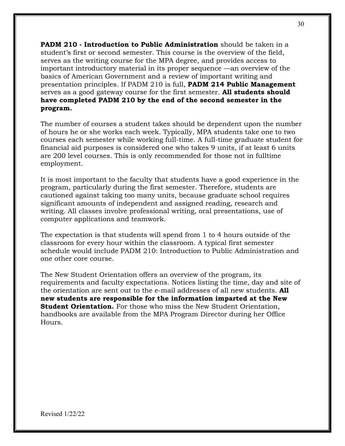**PADM 210 - Introduction to Public Administration** should be taken in a student's first or second semester. This course is the overview of the field, serves as the writing course for the MPA degree, and provides access to important introductory material in its proper sequence —an overview of the basics of American Government and a review of important writing and presentation principles. If PADM 210 is full, **PADM 214 Public Management**  serves as a good gateway course for the first semester. **All students should have completed PADM 210 by the end of the second semester in the program.**

The number of courses a student takes should be dependent upon the number of hours he or she works each week. Typically, MPA students take one to two courses each semester while working full-time. A full-time graduate student for financial aid purposes is considered one who takes 9 units, if at least 6 units are 200 level courses. This is only recommended for those not in fulltime employment.

It is most important to the faculty that students have a good experience in the program, particularly during the first semester. Therefore, students are cautioned against taking too many units, because graduate school requires significant amounts of independent and assigned reading, research and writing. All classes involve professional writing, oral presentations, use of computer applications and teamwork.

The expectation is that students will spend from 1 to 4 hours outside of the classroom for every hour within the classroom. A typical first semester schedule would include PADM 210: Introduction to Public Administration and one other core course.

The New Student Orientation offers an overview of the program, its requirements and faculty expectations. Notices listing the time, day and site of the orientation are sent out to the e-mail addresses of all new students. **All new students are responsible for the information imparted at the New Student Orientation.** For those who miss the New Student Orientation, handbooks are available from the MPA Program Director during her Office Hours.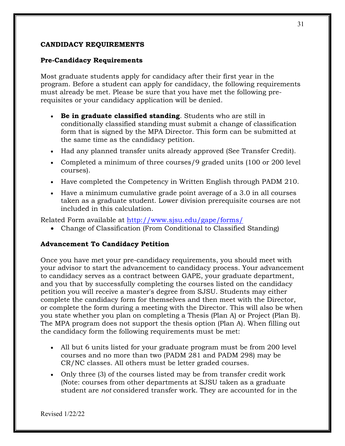#### **CANDIDACY REQUIREMENTS**

#### **Pre-Candidacy Requirements**

Most graduate students apply for candidacy after their first year in the program. Before a student can apply for candidacy, the following requirements must already be met. Please be sure that you have met the following prerequisites or your candidacy application will be denied.

- **Be in graduate classified standing**. Students who are still in conditionally classified standing must submit a change of classification form that is signed by the MPA Director. This form can be submitted at the same time as the candidacy petition.
- Had any planned transfer units already approved (See [Transfer Credit\)](http://www.sjsu.edu/gradstudies/Current/Completing_Masters.html#transfer#transfer).
- Completed a minimum of three courses/9 graded units (100 or 200 level courses).
- Have completed the Competency in Written English through PADM 210.
- Have a minimum cumulative grade point average of a 3.0 in all courses taken as a graduate student. Lower division prerequisite courses are not included in this calculation.

Related Form available at<http://www.sjsu.edu/gape/forms/>

• [Change of Classification \(](http://www.sjsu.edu/gradstudies/forms/class.pdf)From Conditional to Classified Standing)

#### **Advancement To Candidacy Petition**

Once you have met your pre-candidacy requirements, you should meet with your advisor to start the advancement to candidacy process. Your advancement to candidacy serves as a contract between GAPE, your graduate department, and you that by successfully completing the courses listed on the candidacy petition you will receive a master's degree from SJSU. Students may either complete the candidacy form for themselves and then meet with the Director, or complete the form during a meeting with the Director. This will also be when you state whether you plan on completing a [Thesis \(Plan A\) or Project](http://www.sjsu.edu/gradstudies/Current/Completing_Masters.html#thesis#thesis) (Plan B). The MPA program does not support the thesis option (Plan A). When filling out the candidacy form the following requirements must be met:

- All but 6 units listed for your graduate program must be from 200 level courses and no more than two (PADM 281 and PADM 298) may be CR/NC classes. All others must be letter graded courses.
- Only three (3) of the courses listed may be from transfer credit work (Note: courses from other departments at SJSU taken as a graduate student are *not* considered transfer work. They are accounted for in the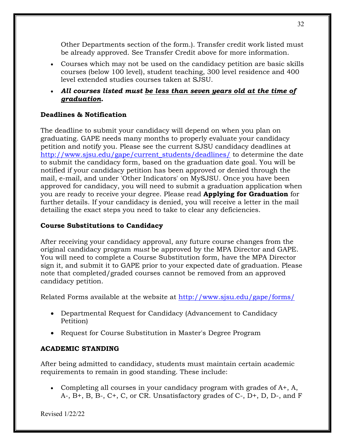Other Departments section of the form.). Transfer credit work listed must be already approved. See [Transfer Credit](http://www.sjsu.edu/gradstudies/Current/Completing_Masters.html#transfer#transfer) above for more information.

- Courses which may not be used on the candidacy petition are basic skills courses (below 100 level), student teaching, 300 level residence and 400 level extended studies courses taken at SJSU.
- *All courses listed must be less than seven years old at the time of graduation.*

#### **Deadlines & Notification**

The deadline to submit your candidacy will depend on when you plan on graduating. GAPE needs many months to properly evaluate your candidacy petition and notify you. Please see the current SJSU [candidacy deadlines](http://www.sjsu.edu/gradstudies/Current/Grad_File_Dates.html) at [http://www.sjsu.edu/gape/current\\_students/deadlines/](http://www.sjsu.edu/gape/current_students/deadlines/) to determine the date to submit the candidacy form, based on the graduation date goal. You will be notified if your candidacy petition has been approved or denied through the mail, e-mail, and under 'Other Indicators' on MySJSU. Once you have been approved for candidacy, you will need to submit a graduation application when you are ready to receive your degree. Please read **[Applying for Graduation](http://www.sjsu.edu/gradstudies/Current/Completing_Masters.html#graduation#graduation)** for further details. If your candidacy is denied, you will receive a letter in the mail detailing the exact steps you need to take to clear any deficiencies.

#### **Course Substitutions to Candidacy**

After receiving your candidacy approval, any future course changes from the original candidacy program *must* be approved by the MPA Director and GAPE. You will need to complete a Course Substitution form, have the MPA Director sign it, and submit it to GAPE prior to your expected date of graduation. Please note that completed/graded courses cannot be removed from an approved candidacy petition.

Related Forms available at the website at<http://www.sjsu.edu/gape/forms/>

- [Departmental Request for Candidacy](http://www.sjsu.edu/gradstudies/forms/candidacy.pdf) (Advancement to Candidacy Petition)
- [Request for Course Substitution in Master's Degree Program](http://www.sjsu.edu/gradstudies/forms/coursesubs.pdf)

#### **ACADEMIC STANDING**

After being admitted to candidacy, students must maintain certain academic requirements to remain in good standing. These include:

• Completing all courses in your candidacy program with grades of A+, A, A-, B+, B, B-, C+, C, or CR. Unsatisfactory grades of C-, D+, D, D-, and F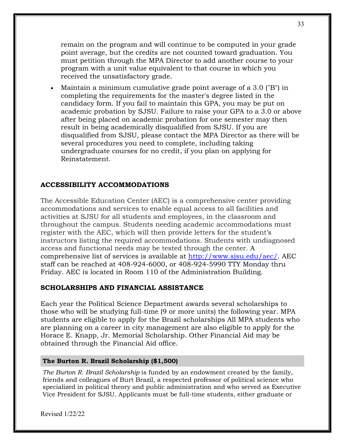remain on the program and will continue to be computed in your grade point average, but the credits are not counted toward graduation. You must petition through the MPA Director to add another course to your program with a unit value equivalent to that course in which you received the unsatisfactory grade.

• Maintain a minimum cumulative grade point average of a 3.0 ("B") in completing the requirements for the master's degree listed in the candidacy form. If you fail to maintain this GPA, you may be put on academic probation by SJSU. Failure to raise your GPA to a 3.0 or above after being placed on academic probation for one semester may then result in being academically disqualified from SJSU. If you are disqualified from SJSU, please contact the MPA Director as there will be several procedures you need to complete, including taking undergraduate courses for no credit, if you plan on applying for Reinstatement.

#### **ACCESSIBILITY ACCOMMODATIONS**

The Accessible Education Center (AEC) is a comprehensive center providing accommodations and services to enable equal access to all facilities and activities at SJSU for all students and employees, in the classroom and throughout the campus. Students needing academic accommodations must register with the AEC, which will then provide letters for the student's instructors listing the required accommodations. Students with undiagnosed access and functional needs may be tested through the center. A comprehensive list of services is available at [http://www.sjsu.edu/aec/.](http://www.sjsu.edu/aec/) AEC staff can be reached at 408-924-6000, or 408-924-5990 TTY Monday thru Friday. AEC is located in Room 110 of the Administration Building.

#### **SCHOLARSHIPS AND FINANCIAL ASSISTANCE**

Each year the Political Science Department awards several scholarships to those who will be studying full-time (9 or more units) the following year. MPA students are eligible to apply for the Brazil scholarships All MPA students who are planning on a career in city management are also eligible to apply for the Horace E. Knapp, Jr. Memorial Scholarship. Other Financial Aid may be obtained through the Financial Aid office.

#### **The Burton R. Brazil Scholarship (\$1,500)**

*The Burton R. Brazil Scholarship* is funded by an endowment created by the family, friends and colleagues of Burt Brazil, a respected professor of political science who specialized in political theory and public administration and who served as Executive Vice President for SJSU. Applicants must be full-time students, either graduate or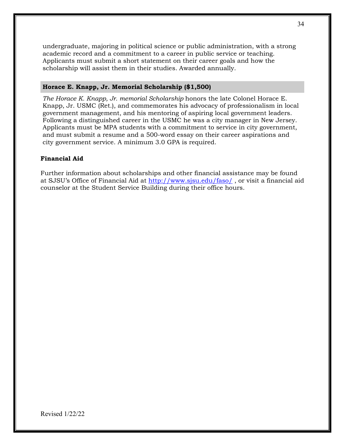undergraduate, majoring in political science or public administration, with a strong academic record and a commitment to a career in public service or teaching. Applicants must submit a short statement on their career goals and how the scholarship will assist them in their studies. Awarded annually.

#### **Horace E. Knapp, Jr. Memorial Scholarship (\$1,500)**

*The Horace K. Knapp, Jr. memorial Scholarship* honors the late Colonel Horace E. Knapp, Jr. USMC (Ret.), and commemorates his advocacy of professionalism in local government management, and his mentoring of aspiring local government leaders. Following a distinguished career in the USMC he was a city manager in New Jersey. Applicants must be MPA students with a commitment to service in city government, and must submit a resume and a 500-word essay on their career aspirations and city government service. A minimum 3.0 GPA is required.

#### **Financial Aid**

Further information about scholarships and other financial assistance may be found at SJSU's Office of Financial Aid at <http://www.sjsu.edu/faso/> , or visit a financial aid counselor at the Student Service Building during their office hours.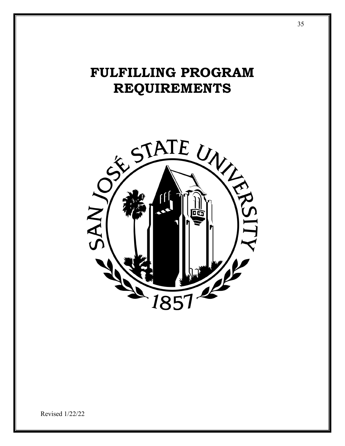# **FULFILLING PROGRAM REQUIREMENTS**

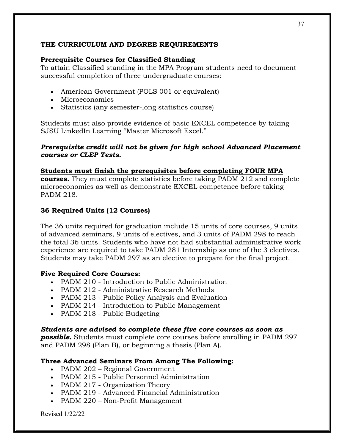#### **THE CURRICULUM AND DEGREE REQUIREMENTS**

#### **Prerequisite Courses for Classified Standing**

To attain Classified standing in the MPA Program students need to document successful completion of three undergraduate courses:

- American Government (POLS 001 or equivalent)
- Microeconomics
- Statistics (any semester-long statistics course)

Students must also provide evidence of basic EXCEL competence by taking SJSU LinkedIn Learning "Master Microsoft Excel."

#### *Prerequisite credit will not be given for high school Advanced Placement courses or CLEP Tests.*

**Students must finish the prerequisites before completing FOUR MPA courses.** They must complete statistics before taking PADM 212 and complete microeconomics as well as demonstrate EXCEL competence before taking PADM 218.

#### **36 Required Units (12 Courses)**

The 36 units required for graduation include 15 units of core courses, 9 units of advanced seminars, 9 units of electives, and 3 units of PADM 298 to reach the total 36 units. Students who have not had substantial administrative work experience are required to take PADM 281 Internship as one of the 3 electives. Students may take PADM 297 as an elective to prepare for the final project.

#### **Five Required Core Courses:**

- PADM 210 Introduction to Public Administration
- PADM 212 Administrative Research Methods
- PADM 213 Public Policy Analysis and Evaluation
- PADM 214 Introduction to Public Management
- PADM 218 Public Budgeting

#### *Students are advised to complete these five core courses as soon as*

*possible.* Students must complete core courses before enrolling in PADM 297 and PADM 298 (Plan B), or beginning a thesis (Plan A).

#### **Three Advanced Seminars From Among The Following:**

- PADM 202 Regional Government
- PADM 215 Public Personnel Administration
- PADM 217 Organization Theory
- PADM 219 Advanced Financial Administration
- PADM 220 Non-Profit Management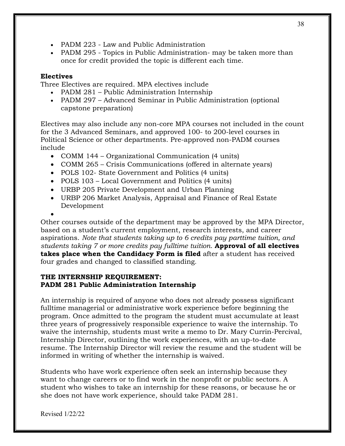- PADM 223 Law and Public Administration
- PADM 295 Topics in Public Administration- may be taken more than once for credit provided the topic is different each time.

#### **Electives**

Three Electives are required. MPA electives include

- PADM 281 Public Administration Internship
- PADM 297 Advanced Seminar in Public Administration (optional capstone preparation)

Electives may also include any non-core MPA courses not included in the count for the 3 Advanced Seminars, and approved 100- to 200-level courses in Political Science or other departments. Pre-approved non-PADM courses include

- COMM 144 Organizational Communication (4 units)
- COMM 265 Crisis Communications (offered in alternate years)
- POLS 102- State Government and Politics (4 units)
- POLS 103 Local Government and Politics (4 units)
- URBP 205 Private Development and Urban Planning
- URBP 206 Market Analysis, Appraisal and Finance of Real Estate Development

•

Other courses outside of the department may be approved by the MPA Director, based on a student's current employment, research interests, and career aspirations. *Note that students taking up to 6 credits pay parttime tuition, and students taking 7 or more credits pay fulltime tuition*. **Approval of all electives takes place when the Candidacy Form is filed** after a student has received four grades and changed to classified standing.

#### **THE INTERNSHIP REQUIREMENT: PADM 281 Public Administration Internship**

An internship is required of anyone who does not already possess significant fulltime managerial or administrative work experience before beginning the program. Once admitted to the program the student must accumulate at least three years of progressively responsible experience to waive the internship. To waive the internship, students must write a memo to Dr. Mary Currin-Percival, Internship Director, outlining the work experiences, with an up-to-date resume. The Internship Director will review the resume and the student will be informed in writing of whether the internship is waived.

Students who have work experience often seek an internship because they want to change careers or to find work in the nonprofit or public sectors. A student who wishes to take an internship for these reasons, or because he or she does not have work experience, should take PADM 281.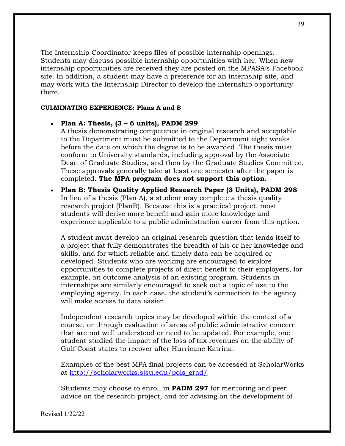The Internship Coordinator keeps files of possible internship openings. Students may discuss possible internship opportunities with her. When new internship opportunities are received they are posted on the MPASA's Facebook site. In addition, a student may have a preference for an internship site, and may work with the Internship Director to develop the internship opportunity there.

#### **CULMINATING EXPERIENCE: Plans A and B**

• **Plan A: Thesis, (3 – 6 units), PADM 299**

A thesis demonstrating competence in original research and acceptable to the Department must be submitted to the Department eight weeks before the date on which the degree is to be awarded. The thesis must conform to University standards, including approval by the Associate Dean of Graduate Studies, and then by the Graduate Studies Committee. These approvals generally take at least one semester after the paper is completed. **The MPA program does not support this option.**

• **Plan B: Thesis Quality Applied Research Paper (3 Units), PADM 298** In lieu of a thesis (Plan A), a student may complete a thesis quality research project (PlanB). Because this is a practical project, most students will derive more benefit and gain more knowledge and experience applicable to a public administration career from this option.

A student must develop an original research question that lends itself to a project that fully demonstrates the breadth of his or her knowledge and skills, and for which reliable and timely data can be acquired or developed. Students who are working are encouraged to explore opportunities to complete projects of direct benefit to their employers, for example, an outcome analysis of an existing program. Students in internships are similarly encouraged to seek out a topic of use to the employing agency. In each case, the student's connection to the agency will make access to data easier.

Independent research topics may be developed within the context of a course, or through evaluation of areas of public administrative concern that are not well understood or need to be updated. For example, one student studied the impact of the loss of tax revenues on the ability of Gulf Coast states to recover after Hurricane Katrina.

Examples of the best MPA final projects can be accessed at ScholarWorks at [http://scholarworks.sjsu.edu/pols\\_grad/](http://scholarworks.sjsu.edu/pols_grad/)

Students may choose to enroll in **PADM 297** for mentoring and peer advice on the research project, and for advising on the development of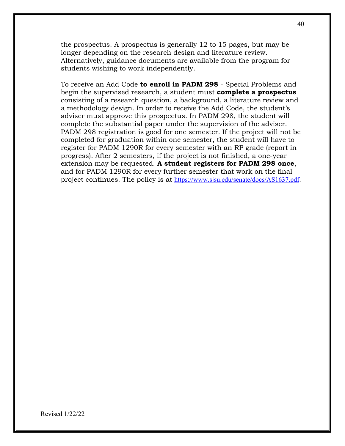the prospectus. A prospectus is generally 12 to 15 pages, but may be longer depending on the research design and literature review. Alternatively, guidance documents are available from the program for students wishing to work independently.

To receive an Add Code **to enroll in PADM 298** - Special Problems and begin the supervised research, a student must **complete a prospectus** consisting of a research question, a background, a literature review and a methodology design. In order to receive the Add Code, the student's adviser must approve this prospectus. In PADM 298, the student will complete the substantial paper under the supervision of the adviser. PADM 298 registration is good for one semester. If the project will not be completed for graduation within one semester, the student will have to register for PADM 1290R for every semester with an RP grade (report in progress). After 2 semesters, if the project is not finished, a one-year extension may be requested. **A student registers for PADM 298 once**, and for PADM 1290R for every further semester that work on the final project continues. The policy is at [https://www.sjsu.edu/senate/docs/AS1637.pdf.](https://www.sjsu.edu/senate/docs/AS1637.pdf)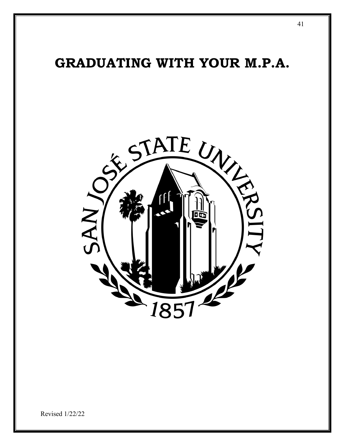# **GRADUATING WITH YOUR M.P.A.**

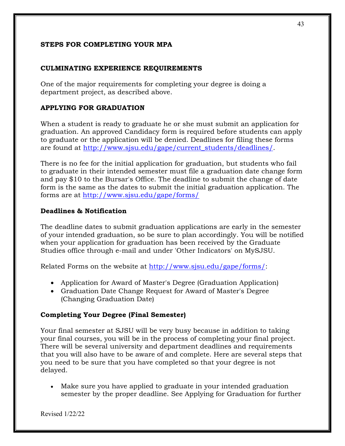#### **STEPS FOR COMPLETING YOUR MPA**

#### **CULMINATING EXPERIENCE REQUIREMENTS**

One of the major requirements for completing your degree is doing a department project, as described above.

#### **APPLYING FOR GRADUATION**

When a student is ready to graduate he or she must submit an application for graduation. [An approved Candidacy](http://www.sjsu.edu/gradstudies/Current/Completing_Masters.html#candidacy#candidacy) form is required before students can apply to graduate or the application will be denied. Deadlines for filing these forms are found at [http://www.sjsu.edu/gape/current\\_students/deadlines/.](http://www.sjsu.edu/gape/current_students/deadlines/)

There is no fee for the initial application for graduation, but students who fail to graduate in their intended semester must file a graduation date change form and pay \$10 to the Bursar's Office. The deadline to submit the change of date form is the same as the dates to submit the initial graduation application. The forms are at<http://www.sjsu.edu/gape/forms/>

#### **Deadlines & Notification**

The [deadline dates](http://www.sjsu.edu/gradstudies/Current/Grad_File_Dates.html) to submit graduation applications are early in the semester of your intended graduation, so be sure to plan accordingly. You will be notified when your application for graduation has been received by the Graduate Studies office through e-mail and under 'Other Indicators' on MySJSU.

Related Forms on the website at [http://www.sjsu.edu/gape/forms/:](http://www.sjsu.edu/gape/forms/)

- [Application for Award of Master's Degree \(](http://www.sjsu.edu/gradstudies/forms/awardmd.pdf)Graduation Application)
- [Graduation Date Change Request for Award of Master's Degree](http://www.sjsu.edu/gape/docs/graduation_date_change.pdf) (Changing Graduation Date)

#### **Completing Your Degree (Final Semester)**

Your final semester at SJSU will be very busy because in addition to taking your final courses, you will be in the process of completing your final project. There will be several university and department deadlines and requirements that you will also have to be aware of and complete. Here are several steps that you need to be sure that you have completed so that your degree is not delayed.

• Make sure you have applied to graduate in your intended graduation semester by the proper deadline. See [Applying for Graduation](http://www.sjsu.edu/gradstudies/Current/Completing_Masters.html#graduation#graduation) for further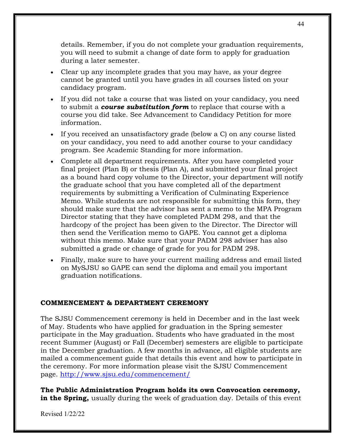details. Remember, if you do not complete your graduation requirements, you will need to submit a change of date form to apply for graduation during a later semester.

- Clear up any incomplete grades that you may have, as your degree cannot be granted until you have grades in all courses listed on your candidacy program.
- If you did not take a course that was listed on your candidacy, you need to submit a *course substitution form* to replace that course with a course you did take. See [Advancement to Candidacy Petition](http://www.sjsu.edu/gradstudies/Current/Completing_Masters.html#candidacy#candidacy) for more information.
- If you received an unsatisfactory grade (below a C) on any course listed on your candidacy, you need to add another course to your candidacy program. See [Academic Standing](http://www.sjsu.edu/gradstudies/Current/Completing_Masters.html#standing#standing) for more information.
- Complete all department requirements. After you have completed your final project (Plan B) or thesis (Plan A), and submitted your final project as a bound hard copy volume to the Director, your department will notify the graduate school that you have completed all of the department requirements by submitting a Verification of [Culminating Experience](http://www.sjsu.edu/gradstudies/forms/culminating.pdf)  [Memo.](http://www.sjsu.edu/gradstudies/forms/culminating.pdf) While students are not responsible for submitting this form, they should make sure that the advisor has sent a memo to the MPA Program Director stating that they have completed PADM 298, and that the hardcopy of the project has been given to the Director. The Director will then send the Verification memo to GAPE. You cannot get a diploma without this memo. Make sure that your PADM 298 adviser has also submitted a grade or change of grade for you for PADM 298.
- Finally, make sure to have your current mailing address and email listed on MySJSU so GAPE can send the diploma and email you important graduation notifications.

#### **COMMENCEMENT & DEPARTMENT CEREMONY**

The SJSU Commencement ceremony is held in December and in the last week of May. Students who have applied for graduation in the Spring semester participate in the May graduation. Students who have graduated in the most recent Summer (August) or Fall (December) semesters are eligible to participate in the December graduation. A few months in advance, all eligible students are mailed a commencement guide that details this event and how to participate in the ceremony. For more information please visit the [SJSU Commencement](http://www.sjsu.edu/commencement/) page.<http://www.sjsu.edu/commencement/>

**The Public Administration Program holds its own Convocation ceremony, in the Spring,** usually during the week of graduation day. Details of this event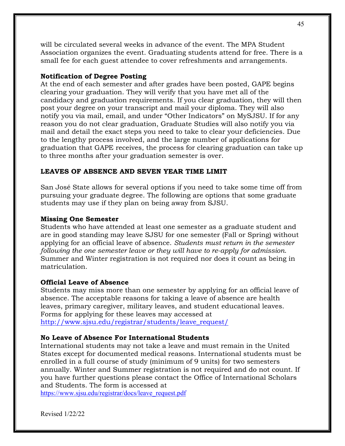will be circulated several weeks in advance of the event. The MPA Student Association organizes the event. Graduating students attend for free. There is a small fee for each guest attendee to cover refreshments and arrangements.

#### **Notification of Degree Posting**

At the end of each semester and after grades have been posted, GAPE begins clearing your graduation. They will verify that you have met all of the candidacy and graduation requirements. If you clear graduation, they will then post your degree on your transcript and mail your diploma. They will also notify you via mail, email, and under "Other Indicators" on MySJSU. If for any reason you do not clear graduation, Graduate Studies will also notify you via mail and detail the exact steps you need to take to clear your deficiencies. Due to the lengthy process involved, and the large number of applications for graduation that GAPE receives, the process for clearing graduation can take up to three months after your graduation semester is over.

#### **LEAVES OF ABSENCE AND SEVEN YEAR TIME LIMIT**

San José State allows for several options if you need to take some time off from pursuing your graduate degree. The following are options that some graduate students may use if they plan on being away from SJSU.

#### **Missing One Semester**

Students who have attended at least one semester as a graduate student and are in good standing may leave SJSU for one semester (Fall or Spring) without applying for an official leave of absence. *Students must return in the semester following the one semester leave or they will have to re-apply for admission*. Summer and Winter registration is not required nor does it count as being in matriculation.

#### **Official Leave of Absence**

Students may miss more than one semester by applying for an official leave of absence. The acceptable reasons for taking a leave of absence are health leaves, primary caregiver, military leaves, and student educational leaves. Forms for applying for these leaves may accessed at [http://www.sjsu.edu/registrar/students/leave\\_request/](http://www.sjsu.edu/registrar/students/leave_request/)

#### **No Leave of Absence For International Students**

International students may not take a leave and must remain in the United States except for documented medical reasons. International students must be enrolled in a full course of study (minimum of 9 units) for two semesters annually. Winter and Summer registration is not required and do not count. If you have further questions please contact the Office of International [Scholars](http://www2.sjsu.edu/depts/ipss/) and Students. The form is accessed at

[https://www.sjsu.edu/registrar/docs/leave\\_request.pdf](https://www.sjsu.edu/registrar/docs/leave_request.pdf)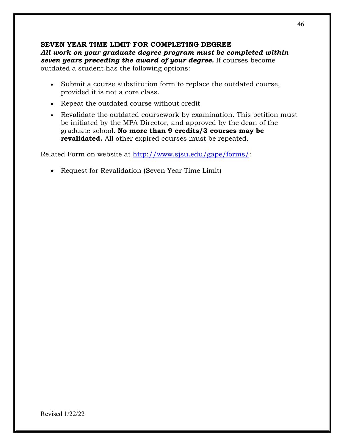#### **SEVEN YEAR TIME LIMIT FOR COMPLETING DEGREE** *All work on your graduate degree program must be completed within seven years preceding the award of your degree.* If courses become outdated a student has the following options:

- Submit a course substitution form to replace the outdated course, provided it is not a core class.
- Repeat the outdated course without credit
- Revalidate the outdated coursework by examination. This petition must be initiated by the MPA Director, and approved by the dean of the graduate school. **No more than 9 credits/3 courses may be revalidated.** All other expired courses must be repeated.

Related Form on website at [http://www.sjsu.edu/gape/forms/:](http://www.sjsu.edu/gape/forms/)

• [Request for Revalidation](http://www.sjsu.edu/gradstudies/forms/revalidation.pdf) (Seven Year Time Limit)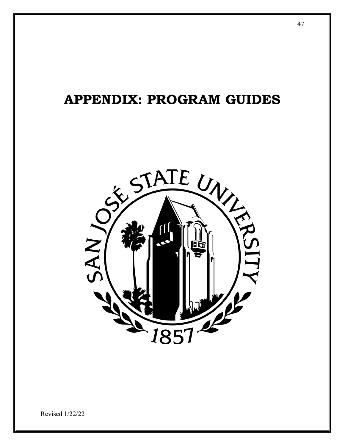## **APPENDIX: PROGRAM GUIDES**

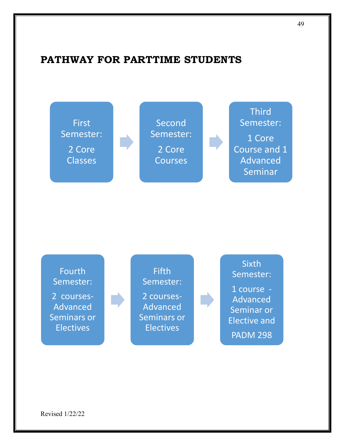#### **PATHWAY FOR PARTTIME STUDENTS**